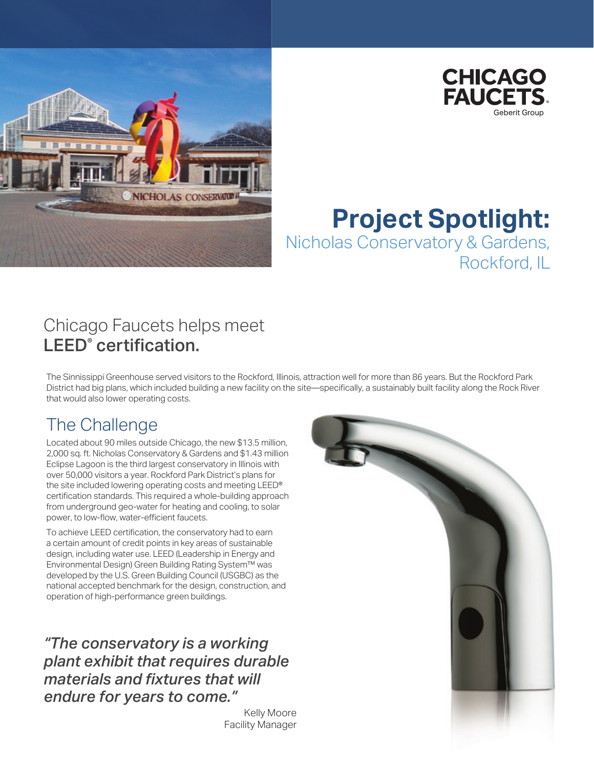



# **Project Spotlight:** Nicholas Conservatory & Gardens, Rockford, IL

## Chicago Faucets helps meet LEED<sup>®</sup> certification.

The Sinnissippi Greenhouse served visitors to the Rockford, Illinois, attraction well for more than 86 years. But the Rockford Park District had big plans, which included building a new facility on the site—specifically, a sustainably built facility along the Rock River that would also lower operating costs.

## The Challenge

Located about 90 miles outside Chicago, the new \$13.5 million, 2,000 sq. ft. Nicholas Conservatory & Gardens and \$1.43 million Eclipse Lagoon is the third largest conservatory in Illinois with over 50,000 visitors a year. Rockford Park District's plans for the site included lowering operating costs and meeting LEED® certification standards. This required a whole-building approach from underground geo-water for heating and cooling, to solar power, to low-flow, water-efficient faucets.

To achieve LEED certification, the conservatory had to earn a certain amount of credit points in key areas of sustainable design, including water use. LEED (Leadership in Energy and Environmental Design) Green Building Rating System™ was developed by the U.S. Green Building Council (USGBC) as the national accepted benchmark for the design, construction, and operation of high-performance green buildings.

*"The conservatory is a working plant exhibit that requires durable materials and fixtures that will endure for years to come."*

> Kelly Moore Facility Manager